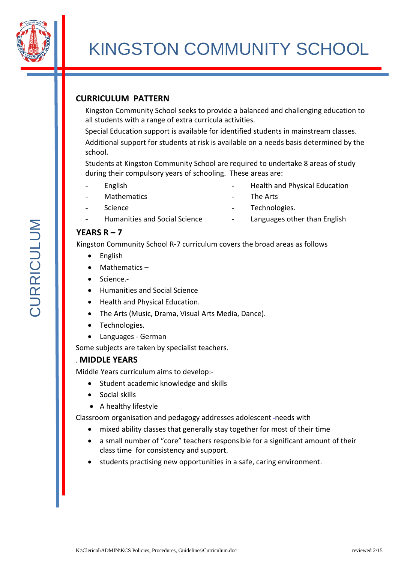

# KINGSTON COMMUNITY SCHOOL

## **CURRICULUM PATTERN**

Kingston Community School seeks to provide a balanced and challenging education to all students with a range of extra curricula activities.

Special Education support is available for identified students in mainstream classes. Additional support for students at risk is available on a needs basis determined by the school.

Students at Kingston Community School are required to undertake 8 areas of study during their compulsory years of schooling. These areas are:

- **English**
- **Mathematics**
- **Science**
- Humanities and Social Science
- Health and Physical Education
- The Arts
- Technologies.
- Languages other than English

## **YEARS R – 7**

Kingston Community School R-7 curriculum covers the broad areas as follows

- English
- Mathematics –
- Science.-
- Humanities and Social Science
- Health and Physical Education.
- The Arts (Music, Drama, Visual Arts Media, Dance).
- Technologies.
- Languages German

Some subjects are taken by specialist teachers.

#### . **MIDDLE YEARS**

Middle Years curriculum aims to develop:-

- Student academic knowledge and skills
- Social skills
- A healthy lifestyle

Classroom organisation and pedagogy addresses adolescent -needs with

- mixed ability classes that generally stay together for most of their time
- a small number of "core" teachers responsible for a significant amount of their class time for consistency and support.
- students practising new opportunities in a safe, caring environment.